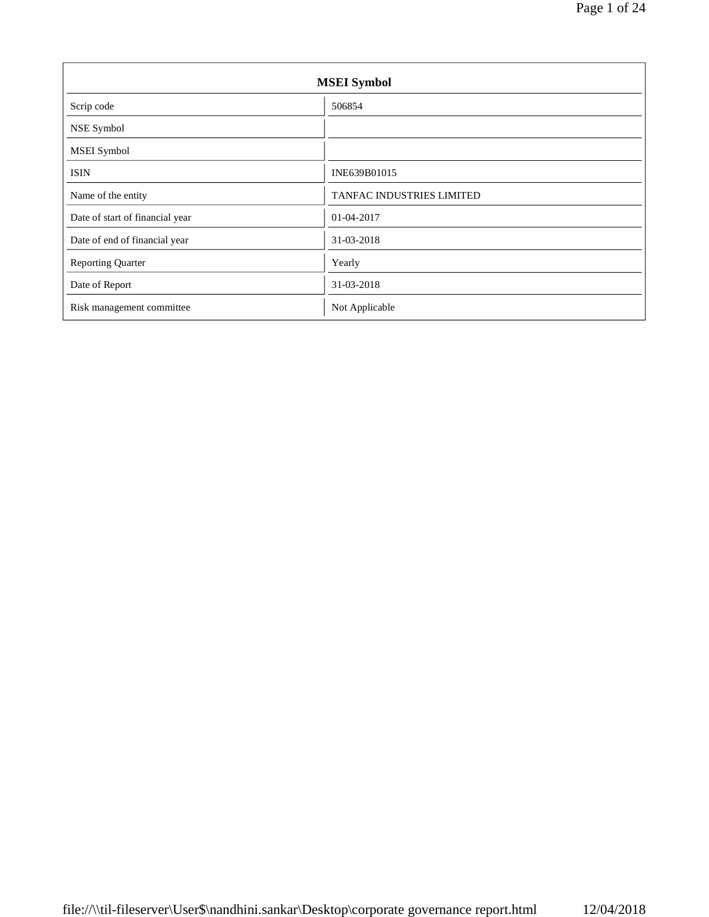| <b>MSEI</b> Symbol              |                           |  |  |
|---------------------------------|---------------------------|--|--|
| Scrip code                      | 506854                    |  |  |
| NSE Symbol                      |                           |  |  |
| <b>MSEI</b> Symbol              |                           |  |  |
| <b>ISIN</b>                     | INE639B01015              |  |  |
| Name of the entity              | TANFAC INDUSTRIES LIMITED |  |  |
| Date of start of financial year | 01-04-2017                |  |  |
| Date of end of financial year   | 31-03-2018                |  |  |
| <b>Reporting Quarter</b>        | Yearly                    |  |  |
| Date of Report                  | 31-03-2018                |  |  |
| Risk management committee       | Not Applicable            |  |  |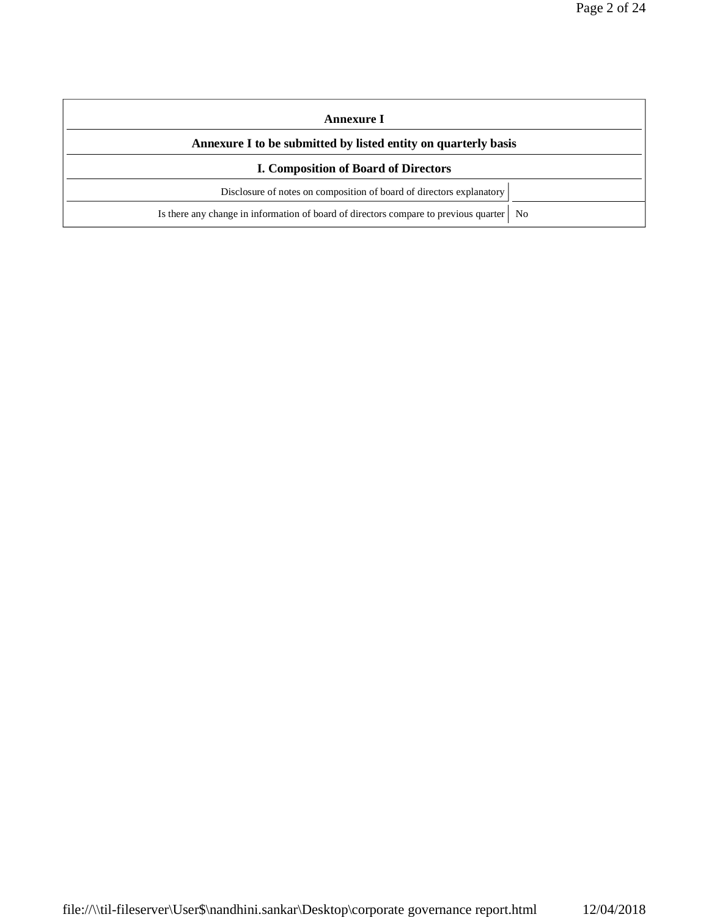| Annexure I                                                                                |  |  |  |
|-------------------------------------------------------------------------------------------|--|--|--|
| Annexure I to be submitted by listed entity on quarterly basis                            |  |  |  |
| <b>I. Composition of Board of Directors</b>                                               |  |  |  |
| Disclosure of notes on composition of board of directors explanatory                      |  |  |  |
| Is there any change in information of board of directors compare to previous quarter   No |  |  |  |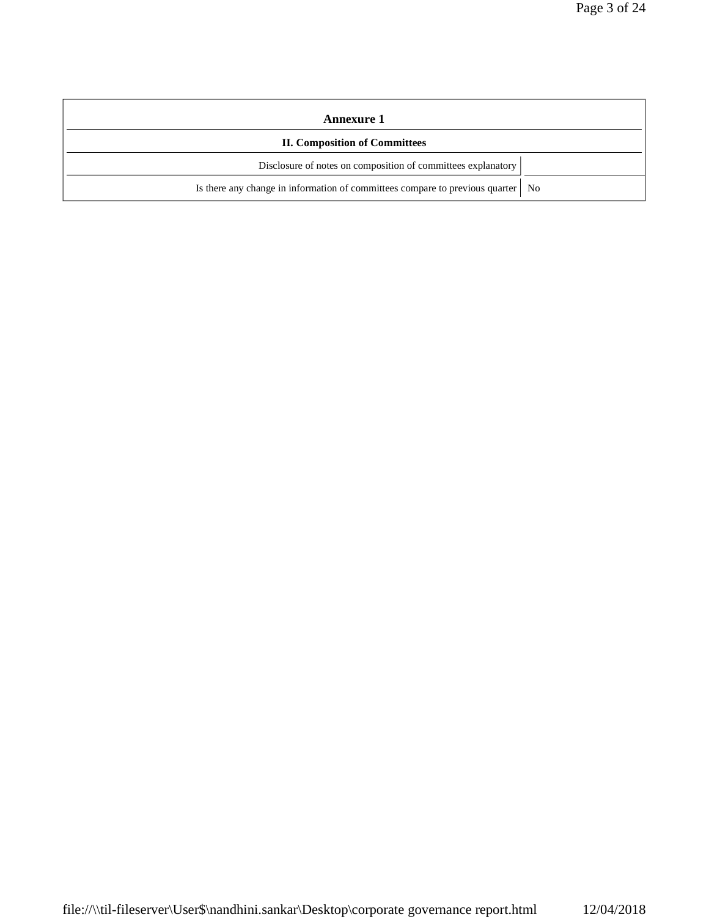| Annexure 1                                                                        |  |
|-----------------------------------------------------------------------------------|--|
| <b>II. Composition of Committees</b>                                              |  |
| Disclosure of notes on composition of committees explanatory                      |  |
| Is there any change in information of committees compare to previous quarter   No |  |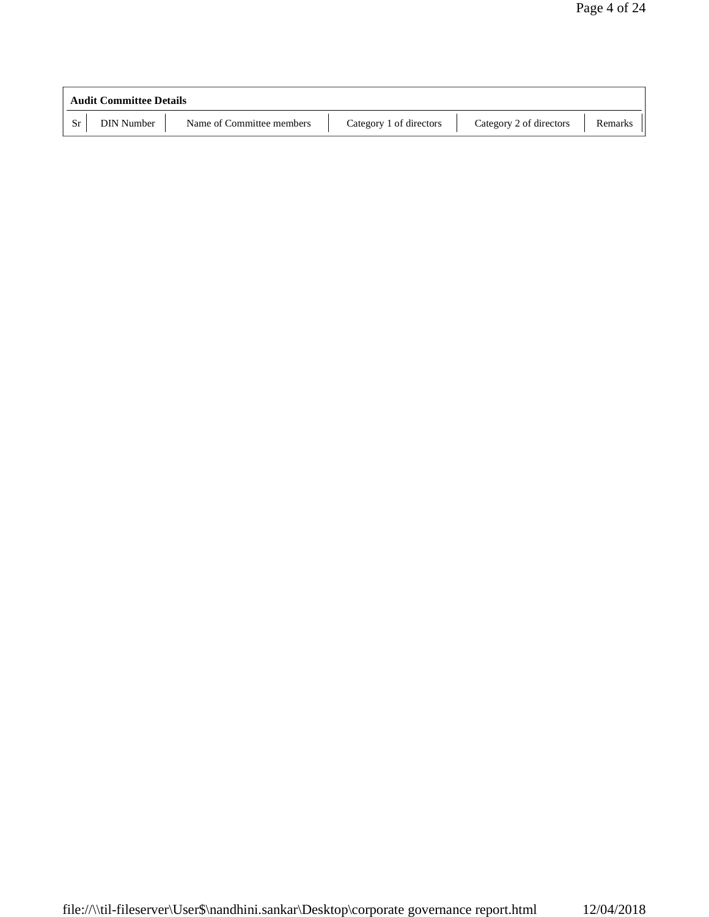| <b>Audit Committee Details</b> |                   |                           |                         |                         |         |
|--------------------------------|-------------------|---------------------------|-------------------------|-------------------------|---------|
| Sr                             | <b>DIN</b> Number | Name of Committee members | Category 1 of directors | Category 2 of directors | Remarks |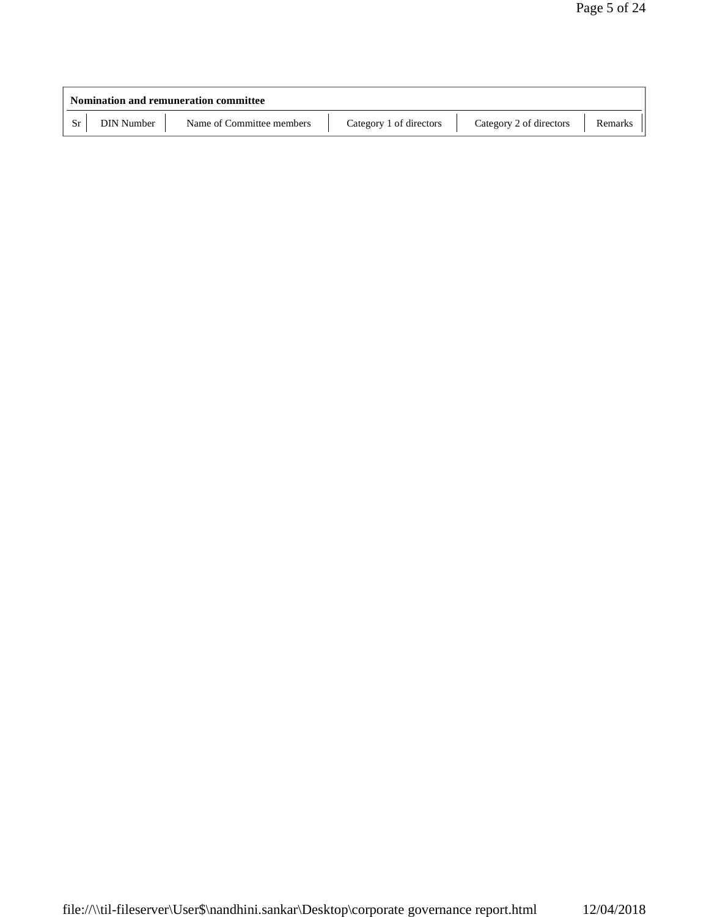| <b>Nomination and remuneration committee</b> |                           |                         |                         |         |
|----------------------------------------------|---------------------------|-------------------------|-------------------------|---------|
| <b>DIN Number</b>                            | Name of Committee members | Category 1 of directors | Category 2 of directors | Remarks |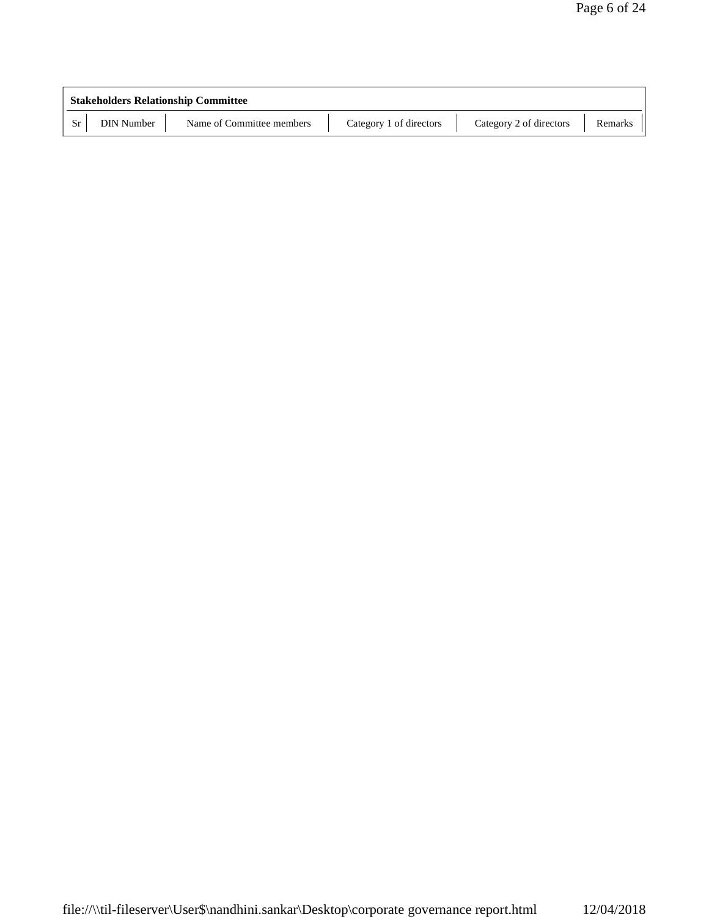| <b>Stakeholders Relationship Committee</b> |                           |                         |                         |         |
|--------------------------------------------|---------------------------|-------------------------|-------------------------|---------|
| <b>DIN Number</b>                          | Name of Committee members | Category 1 of directors | Category 2 of directors | Remarks |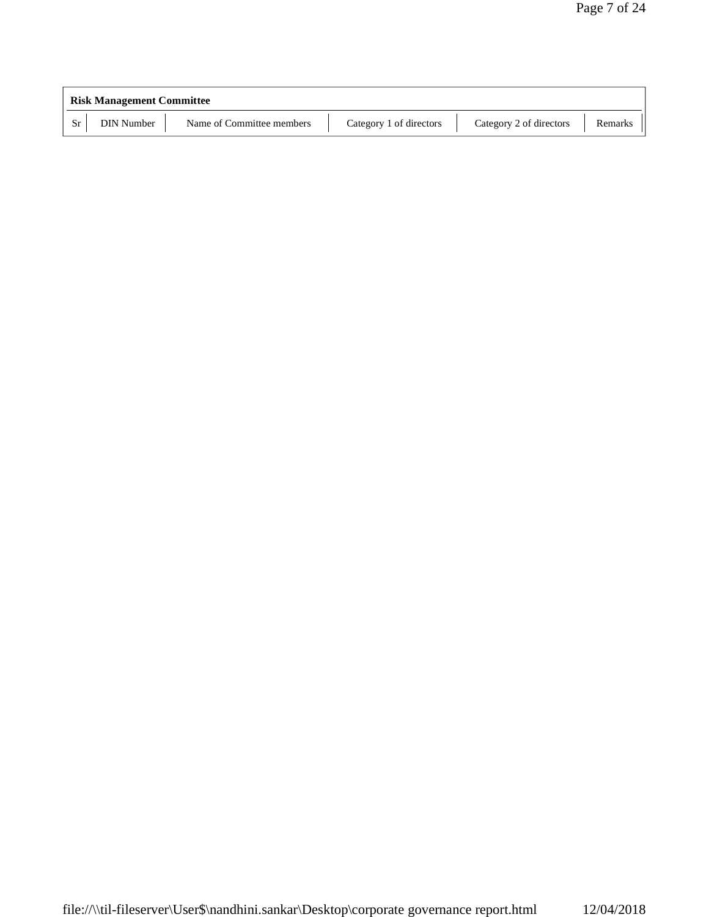|    | <b>Risk Management Committee</b> |                           |                         |                         |         |  |
|----|----------------------------------|---------------------------|-------------------------|-------------------------|---------|--|
| Sr | <b>DIN Number</b>                | Name of Committee members | Category 1 of directors | Category 2 of directors | Remarks |  |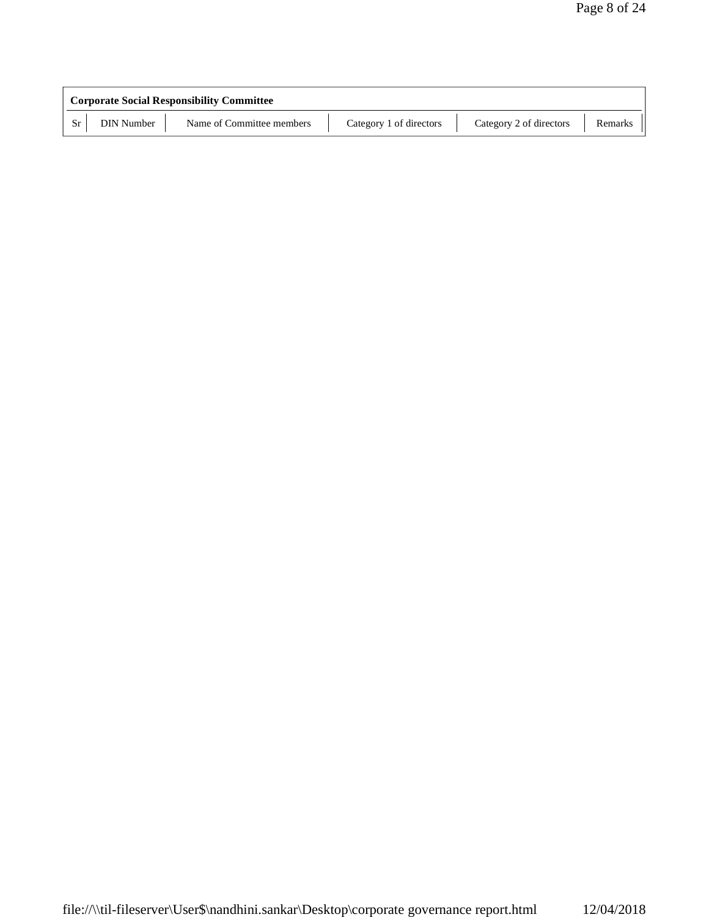| <b>Corporate Social Responsibility Committee</b> |                           |                         |                         |         |  |
|--------------------------------------------------|---------------------------|-------------------------|-------------------------|---------|--|
| <b>DIN Number</b>                                | Name of Committee members | Category 1 of directors | Category 2 of directors | Remarks |  |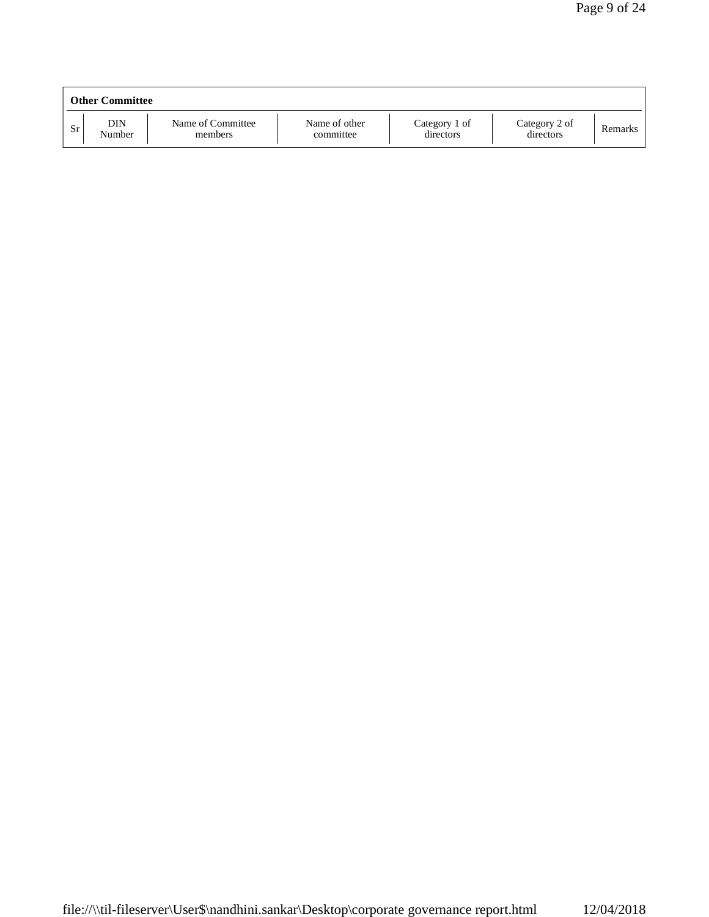|    | <b>Other Committee</b> |                              |                            |                            |                            |         |
|----|------------------------|------------------------------|----------------------------|----------------------------|----------------------------|---------|
| Sr | DIN<br>Number          | Name of Committee<br>members | Name of other<br>committee | Category 1 of<br>directors | Category 2 of<br>directors | Remarks |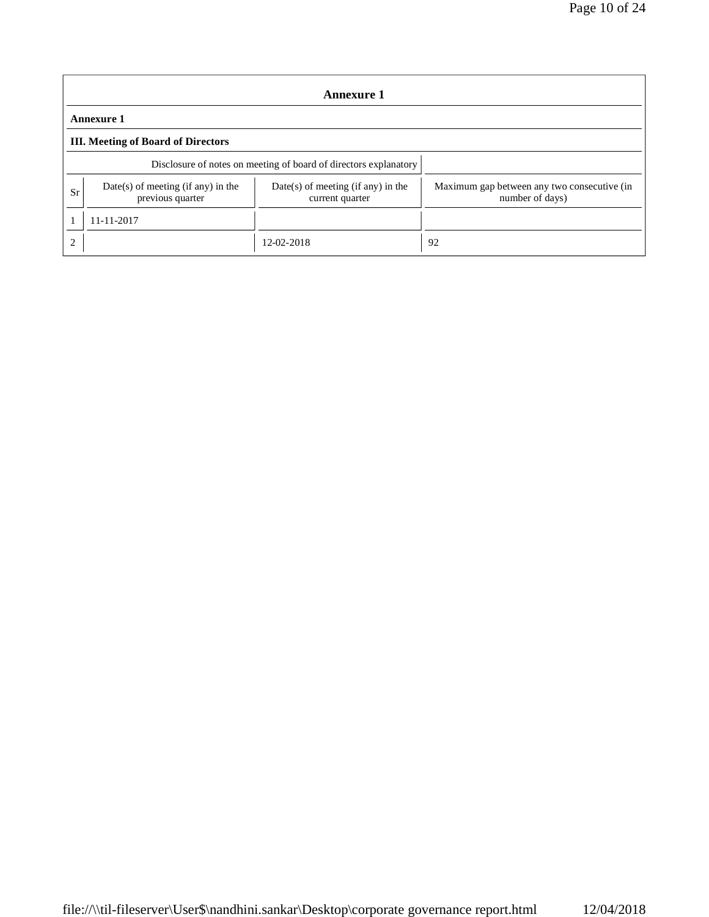|                             | <b>Annexure 1</b>                                      |                                                                  |                                                                |  |  |  |
|-----------------------------|--------------------------------------------------------|------------------------------------------------------------------|----------------------------------------------------------------|--|--|--|
|                             | Annexure 1                                             |                                                                  |                                                                |  |  |  |
|                             | <b>III.</b> Meeting of Board of Directors              |                                                                  |                                                                |  |  |  |
|                             |                                                        | Disclosure of notes on meeting of board of directors explanatory |                                                                |  |  |  |
| Sr                          | Date(s) of meeting (if any) in the<br>previous quarter | $Date(s)$ of meeting (if any) in the<br>current quarter          | Maximum gap between any two consecutive (in<br>number of days) |  |  |  |
|                             | 11-11-2017                                             |                                                                  |                                                                |  |  |  |
| $\mathcal{D}_{\mathcal{L}}$ |                                                        | 12-02-2018                                                       | 92                                                             |  |  |  |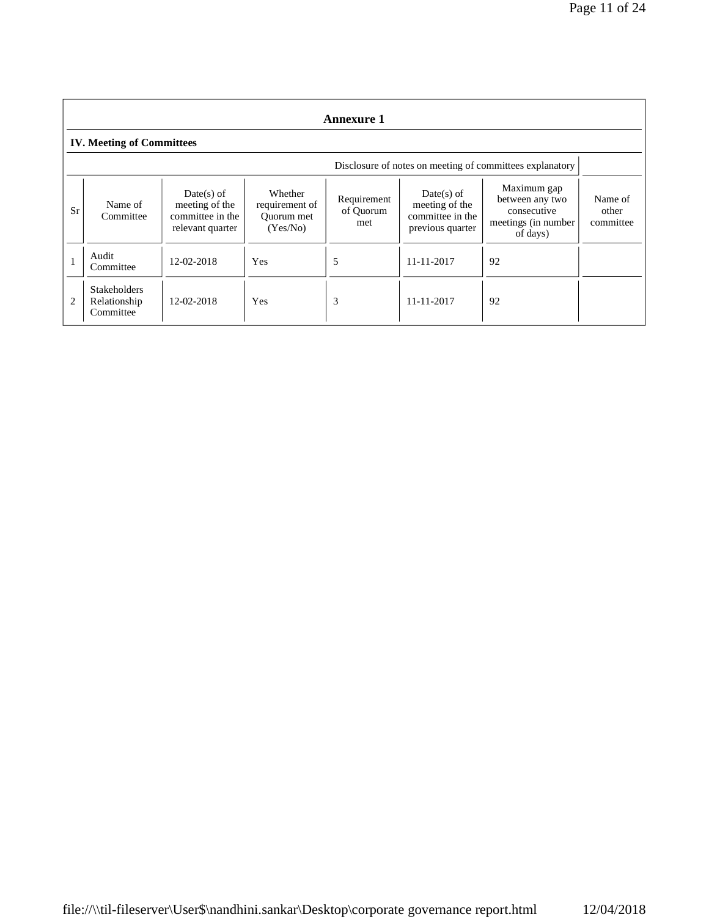|                | <b>Annexure 1</b>                                |                                                                        |                                                     |                                 |                                                                        |                                                                                  |                               |
|----------------|--------------------------------------------------|------------------------------------------------------------------------|-----------------------------------------------------|---------------------------------|------------------------------------------------------------------------|----------------------------------------------------------------------------------|-------------------------------|
|                | <b>IV. Meeting of Committees</b>                 |                                                                        |                                                     |                                 |                                                                        |                                                                                  |                               |
|                |                                                  |                                                                        |                                                     |                                 |                                                                        | Disclosure of notes on meeting of committees explanatory                         |                               |
| Sr             | Name of<br>Committee                             | $Date(s)$ of<br>meeting of the<br>committee in the<br>relevant quarter | Whether<br>requirement of<br>Quorum met<br>(Yes/No) | Requirement<br>of Quorum<br>met | $Date(s)$ of<br>meeting of the<br>committee in the<br>previous quarter | Maximum gap<br>between any two<br>consecutive<br>meetings (in number<br>of days) | Name of<br>other<br>committee |
|                | Audit<br>Committee                               | 12-02-2018                                                             | <b>Yes</b>                                          | 5                               | 11-11-2017                                                             | 92                                                                               |                               |
| $\overline{2}$ | <b>Stakeholders</b><br>Relationship<br>Committee | 12-02-2018                                                             | Yes                                                 | 3                               | 11-11-2017                                                             | 92                                                                               |                               |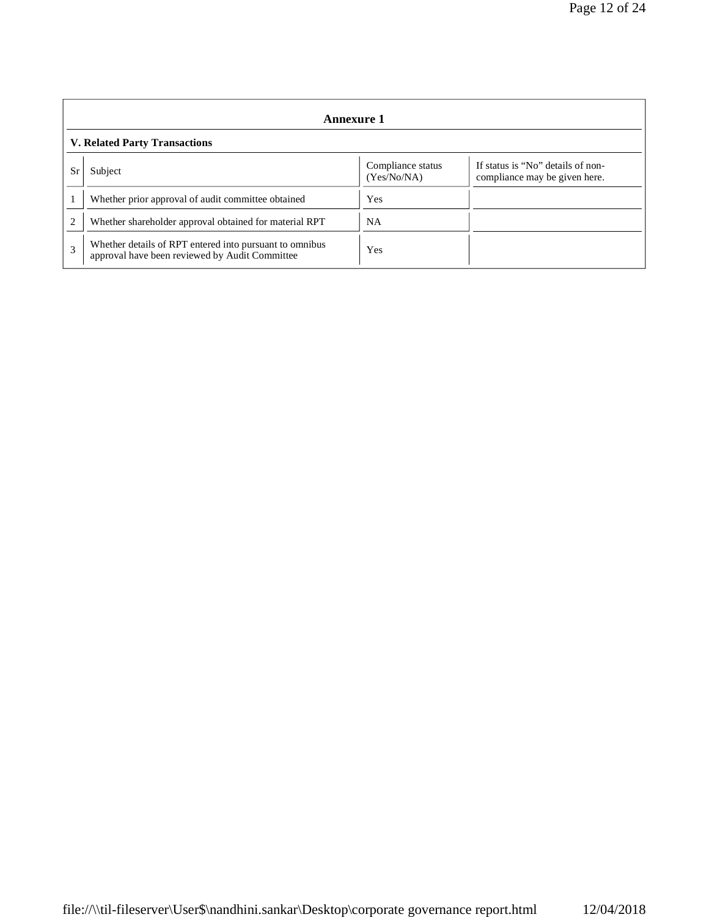|                | <b>Annexure 1</b>                                                                                                 |            |  |  |  |  |
|----------------|-------------------------------------------------------------------------------------------------------------------|------------|--|--|--|--|
|                | <b>V. Related Party Transactions</b>                                                                              |            |  |  |  |  |
| Sı             | If status is "No" details of non-<br>Compliance status<br>Subject<br>(Yes/No/NA)<br>compliance may be given here. |            |  |  |  |  |
|                | Whether prior approval of audit committee obtained                                                                | <b>Yes</b> |  |  |  |  |
| $\overline{c}$ | Whether shareholder approval obtained for material RPT                                                            | <b>NA</b>  |  |  |  |  |
| 3              | Whether details of RPT entered into pursuant to omnibus<br>approval have been reviewed by Audit Committee         | <b>Yes</b> |  |  |  |  |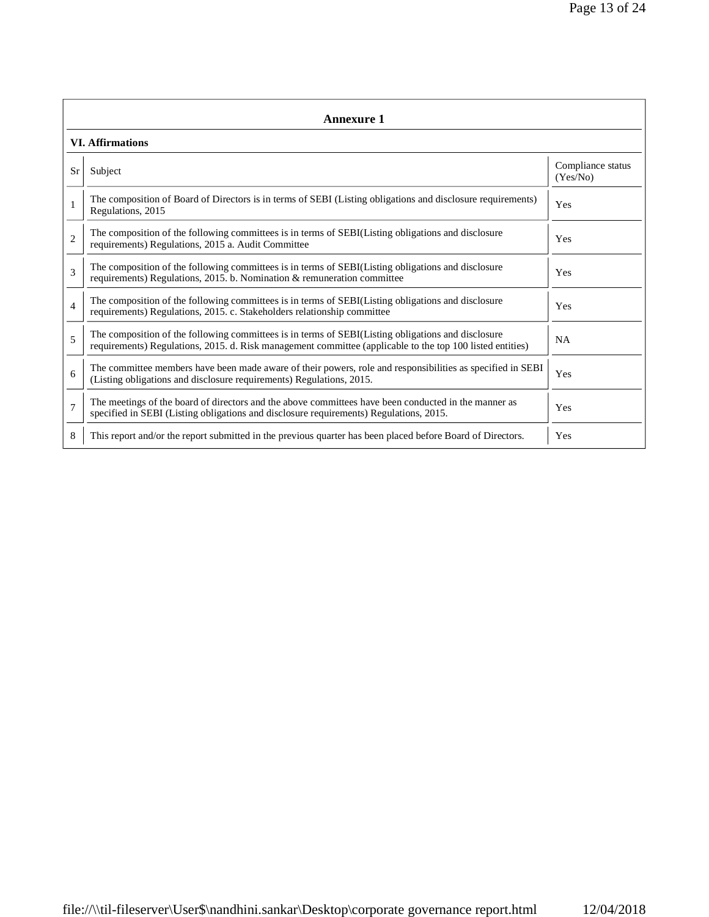|                | <b>Annexure 1</b>                                                                                                                                                                                               |                               |  |  |
|----------------|-----------------------------------------------------------------------------------------------------------------------------------------------------------------------------------------------------------------|-------------------------------|--|--|
|                | <b>VI. Affirmations</b>                                                                                                                                                                                         |                               |  |  |
| Sr             | Subject                                                                                                                                                                                                         | Compliance status<br>(Yes/No) |  |  |
| $\mathbf{1}$   | The composition of Board of Directors is in terms of SEBI (Listing obligations and disclosure requirements)<br>Regulations, 2015                                                                                | Yes                           |  |  |
| $\overline{2}$ | The composition of the following committees is in terms of SEBI(Listing obligations and disclosure<br>requirements) Regulations, 2015 a. Audit Committee                                                        | Yes                           |  |  |
| 3              | The composition of the following committees is in terms of SEBI(Listing obligations and disclosure<br>requirements) Regulations, 2015. b. Nomination & remuneration committee                                   | Yes                           |  |  |
| $\overline{4}$ | The composition of the following committees is in terms of SEBI(Listing obligations and disclosure<br>requirements) Regulations, 2015. c. Stakeholders relationship committee                                   | Yes                           |  |  |
| 5              | The composition of the following committees is in terms of SEBI(Listing obligations and disclosure<br>requirements) Regulations, 2015. d. Risk management committee (applicable to the top 100 listed entities) | <b>NA</b>                     |  |  |
| 6              | The committee members have been made aware of their powers, role and responsibilities as specified in SEBI<br>(Listing obligations and disclosure requirements) Regulations, 2015.                              | Yes                           |  |  |
| $\overline{7}$ | The meetings of the board of directors and the above committees have been conducted in the manner as<br>specified in SEBI (Listing obligations and disclosure requirements) Regulations, 2015.                  | Yes                           |  |  |
| 8              | This report and/or the report submitted in the previous quarter has been placed before Board of Directors.                                                                                                      | Yes                           |  |  |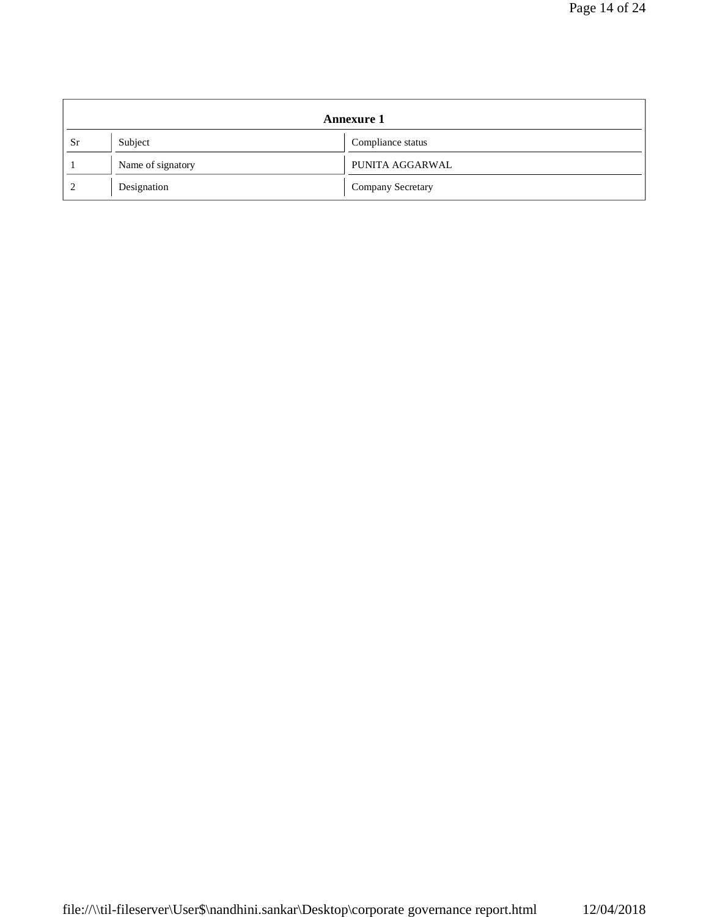|               |                   | <b>Annexure 1</b> |
|---------------|-------------------|-------------------|
| <b>Sr</b>     | Subject           | Compliance status |
|               | Name of signatory | PUNITA AGGARWAL   |
| $\mathcal{D}$ | Designation       | Company Secretary |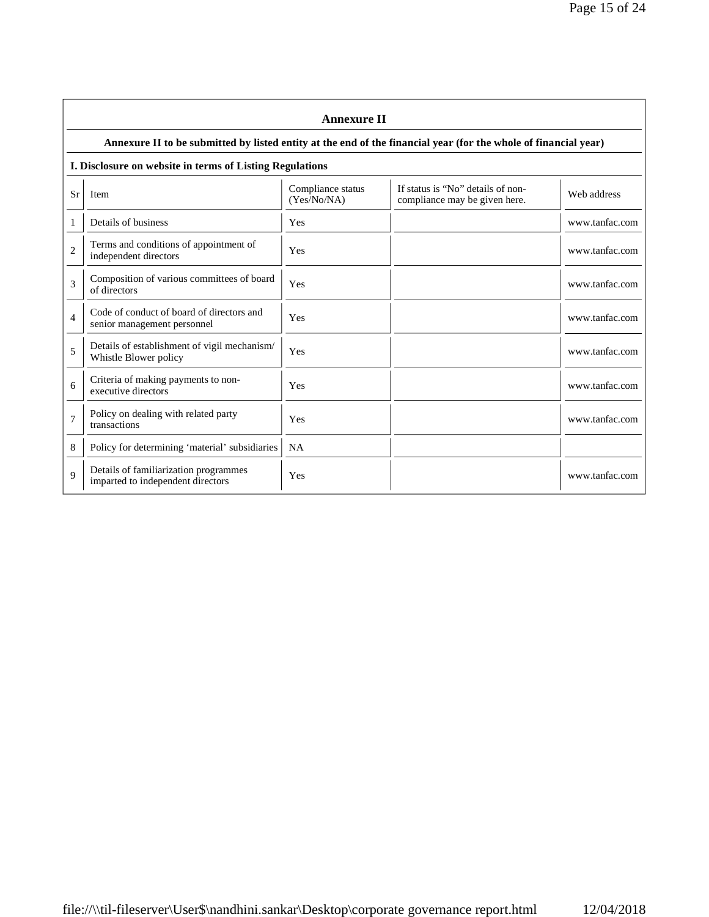|                | <b>Annexure II</b>                                                                                              |                                  |                                                                    |                |  |
|----------------|-----------------------------------------------------------------------------------------------------------------|----------------------------------|--------------------------------------------------------------------|----------------|--|
|                | Annexure II to be submitted by listed entity at the end of the financial year (for the whole of financial year) |                                  |                                                                    |                |  |
|                | I. Disclosure on website in terms of Listing Regulations                                                        |                                  |                                                                    |                |  |
| Sr             | Item                                                                                                            | Compliance status<br>(Yes/No/NA) | If status is "No" details of non-<br>compliance may be given here. | Web address    |  |
| 1              | Details of business                                                                                             | Yes                              |                                                                    | www.tanfac.com |  |
| 2              | Terms and conditions of appointment of<br>independent directors                                                 | Yes                              |                                                                    | www.tanfac.com |  |
| 3              | Composition of various committees of board<br>of directors                                                      | Yes                              |                                                                    | www.tanfac.com |  |
| $\overline{4}$ | Code of conduct of board of directors and<br>senior management personnel                                        | Yes                              |                                                                    | www.tanfac.com |  |
| 5              | Details of establishment of vigil mechanism/<br>Whistle Blower policy                                           | Yes                              |                                                                    | www.tanfac.com |  |
| 6              | Criteria of making payments to non-<br>executive directors                                                      | Yes                              |                                                                    | www.tanfac.com |  |
| $\overline{7}$ | Policy on dealing with related party<br>transactions                                                            | Yes                              |                                                                    | www.tanfac.com |  |
| 8              | Policy for determining 'material' subsidiaries                                                                  | <b>NA</b>                        |                                                                    |                |  |
| $\mathbf Q$    | Details of familiarization programmes<br>imparted to independent directors                                      | Yes                              |                                                                    | www.tanfac.com |  |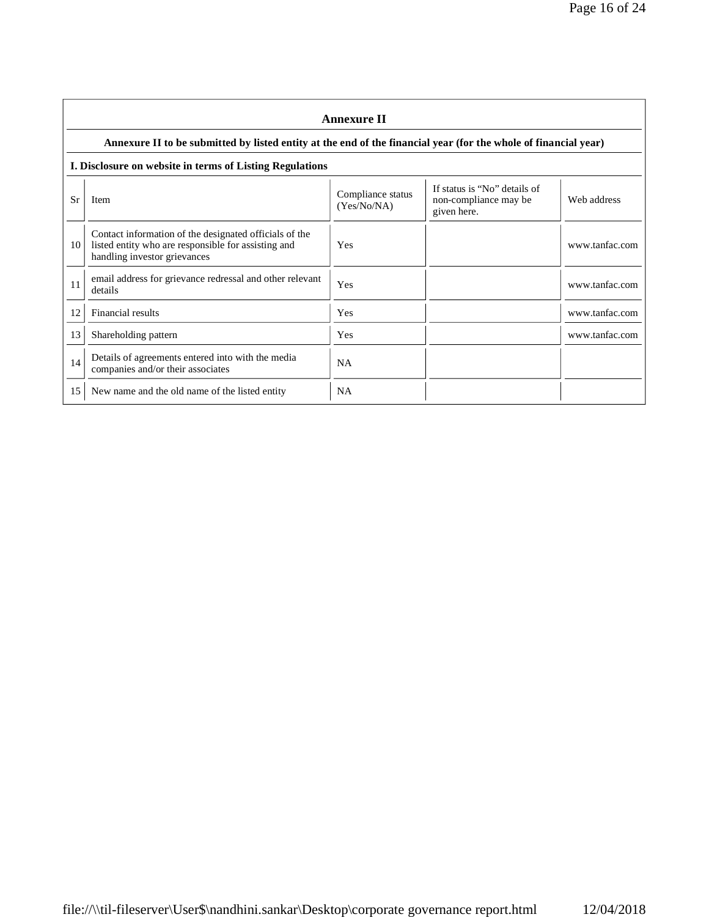|    | <b>Annexure II</b>                                                                                                                            |                                  |                                                                      |                |  |
|----|-----------------------------------------------------------------------------------------------------------------------------------------------|----------------------------------|----------------------------------------------------------------------|----------------|--|
|    | Annexure II to be submitted by listed entity at the end of the financial year (for the whole of financial year)                               |                                  |                                                                      |                |  |
|    | I. Disclosure on website in terms of Listing Regulations                                                                                      |                                  |                                                                      |                |  |
| Sr | <b>Item</b>                                                                                                                                   | Compliance status<br>(Yes/No/NA) | If status is "No" details of<br>non-compliance may be<br>given here. | Web address    |  |
| 10 | Contact information of the designated officials of the<br>listed entity who are responsible for assisting and<br>handling investor grievances | Yes                              |                                                                      | www.tanfac.com |  |
| 11 | email address for grievance redressal and other relevant<br>details                                                                           | Yes                              |                                                                      | www.tanfac.com |  |
| 12 | Financial results                                                                                                                             | Yes                              |                                                                      | www.tanfac.com |  |
| 13 | Shareholding pattern                                                                                                                          | <b>Yes</b>                       |                                                                      | www.tanfac.com |  |
| 14 | Details of agreements entered into with the media<br>companies and/or their associates                                                        | <b>NA</b>                        |                                                                      |                |  |
| 15 | New name and the old name of the listed entity                                                                                                | <b>NA</b>                        |                                                                      |                |  |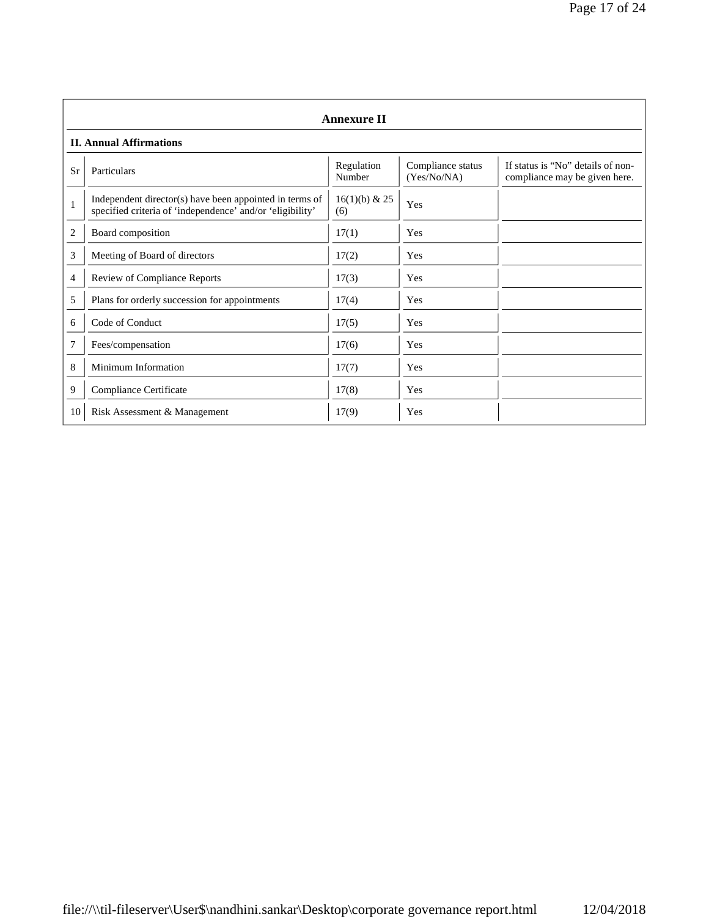|                | <b>Annexure II</b>                                                                                                   |                        |                                  |                                                                    |
|----------------|----------------------------------------------------------------------------------------------------------------------|------------------------|----------------------------------|--------------------------------------------------------------------|
|                | <b>II. Annual Affirmations</b>                                                                                       |                        |                                  |                                                                    |
| Sr             | Particulars                                                                                                          | Regulation<br>Number   | Compliance status<br>(Yes/No/NA) | If status is "No" details of non-<br>compliance may be given here. |
| $\mathbf{1}$   | Independent director(s) have been appointed in terms of<br>specified criteria of 'independence' and/or 'eligibility' | $16(1)(b)$ & 25<br>(6) | Yes                              |                                                                    |
| $\overline{2}$ | Board composition                                                                                                    | 17(1)                  | Yes                              |                                                                    |
| 3              | Meeting of Board of directors                                                                                        | 17(2)                  | Yes                              |                                                                    |
| 4              | Review of Compliance Reports                                                                                         | 17(3)                  | Yes                              |                                                                    |
| 5              | Plans for orderly succession for appointments                                                                        | 17(4)                  | Yes                              |                                                                    |
| 6              | Code of Conduct                                                                                                      | 17(5)                  | Yes                              |                                                                    |
| 7              | Fees/compensation                                                                                                    | 17(6)                  | Yes                              |                                                                    |
| 8              | Minimum Information                                                                                                  | 17(7)                  | Yes                              |                                                                    |
| 9              | Compliance Certificate                                                                                               | 17(8)                  | Yes                              |                                                                    |
| 10             | Risk Assessment & Management                                                                                         | 17(9)                  | Yes                              |                                                                    |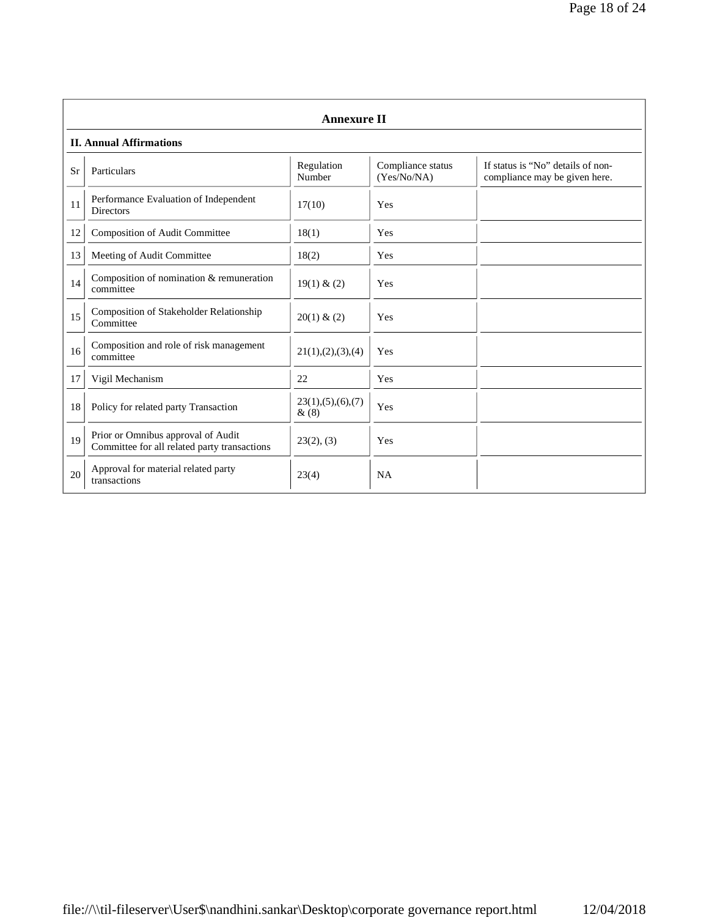|    | <b>Annexure II</b>                                                                 |                              |                                  |                                                                    |
|----|------------------------------------------------------------------------------------|------------------------------|----------------------------------|--------------------------------------------------------------------|
|    | <b>II. Annual Affirmations</b>                                                     |                              |                                  |                                                                    |
| Sr | Particulars                                                                        | Regulation<br>Number         | Compliance status<br>(Yes/No/NA) | If status is "No" details of non-<br>compliance may be given here. |
| 11 | Performance Evaluation of Independent<br><b>Directors</b>                          | 17(10)                       | Yes                              |                                                                    |
| 12 | Composition of Audit Committee                                                     | 18(1)                        | Yes                              |                                                                    |
| 13 | Meeting of Audit Committee                                                         | 18(2)                        | Yes                              |                                                                    |
| 14 | Composition of nomination & remuneration<br>committee                              | 19(1) & (2)                  | Yes                              |                                                                    |
| 15 | Composition of Stakeholder Relationship<br>Committee                               | 20(1) & (2)                  | Yes                              |                                                                    |
| 16 | Composition and role of risk management<br>committee                               | 21(1), (2), (3), (4)         | Yes                              |                                                                    |
| 17 | Vigil Mechanism                                                                    | 22                           | Yes                              |                                                                    |
| 18 | Policy for related party Transaction                                               | 23(1), (5), (6), (7)<br>&(8) | Yes                              |                                                                    |
| 19 | Prior or Omnibus approval of Audit<br>Committee for all related party transactions | 23(2), (3)                   | Yes                              |                                                                    |
| 20 | Approval for material related party<br>transactions                                | 23(4)                        | <b>NA</b>                        |                                                                    |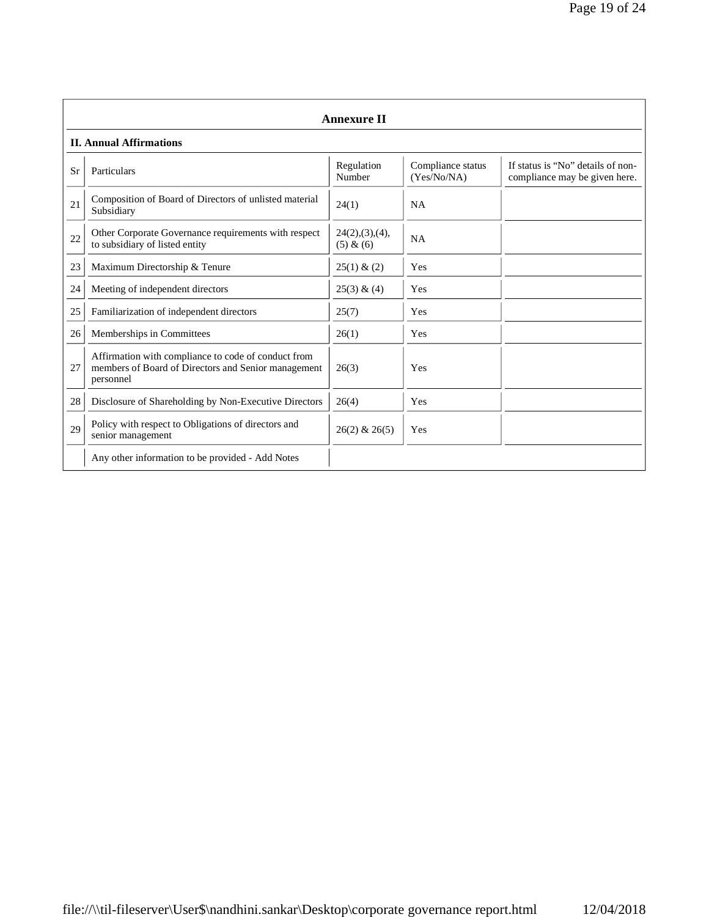|    | <b>Annexure II</b>                                                                                                      |                               |                                  |                                                                    |
|----|-------------------------------------------------------------------------------------------------------------------------|-------------------------------|----------------------------------|--------------------------------------------------------------------|
|    | <b>II. Annual Affirmations</b>                                                                                          |                               |                                  |                                                                    |
| Sr | Particulars                                                                                                             | Regulation<br>Number          | Compliance status<br>(Yes/No/NA) | If status is "No" details of non-<br>compliance may be given here. |
| 21 | Composition of Board of Directors of unlisted material<br>Subsidiary                                                    | 24(1)                         | <b>NA</b>                        |                                                                    |
| 22 | Other Corporate Governance requirements with respect<br>to subsidiary of listed entity                                  | 24(2), (3), (4),<br>(5) & (6) | <b>NA</b>                        |                                                                    |
| 23 | Maximum Directorship & Tenure                                                                                           | 25(1) & (2)                   | Yes                              |                                                                    |
| 24 | Meeting of independent directors                                                                                        | $25(3)$ & (4)                 | Yes                              |                                                                    |
| 25 | Familiarization of independent directors                                                                                | 25(7)                         | Yes                              |                                                                    |
| 26 | Memberships in Committees                                                                                               | 26(1)                         | Yes                              |                                                                    |
| 27 | Affirmation with compliance to code of conduct from<br>members of Board of Directors and Senior management<br>personnel | 26(3)                         | Yes                              |                                                                    |
| 28 | Disclosure of Shareholding by Non-Executive Directors                                                                   | 26(4)                         | Yes                              |                                                                    |
| 29 | Policy with respect to Obligations of directors and<br>senior management                                                | $26(2)$ & $26(5)$             | Yes                              |                                                                    |
|    | Any other information to be provided - Add Notes                                                                        |                               |                                  |                                                                    |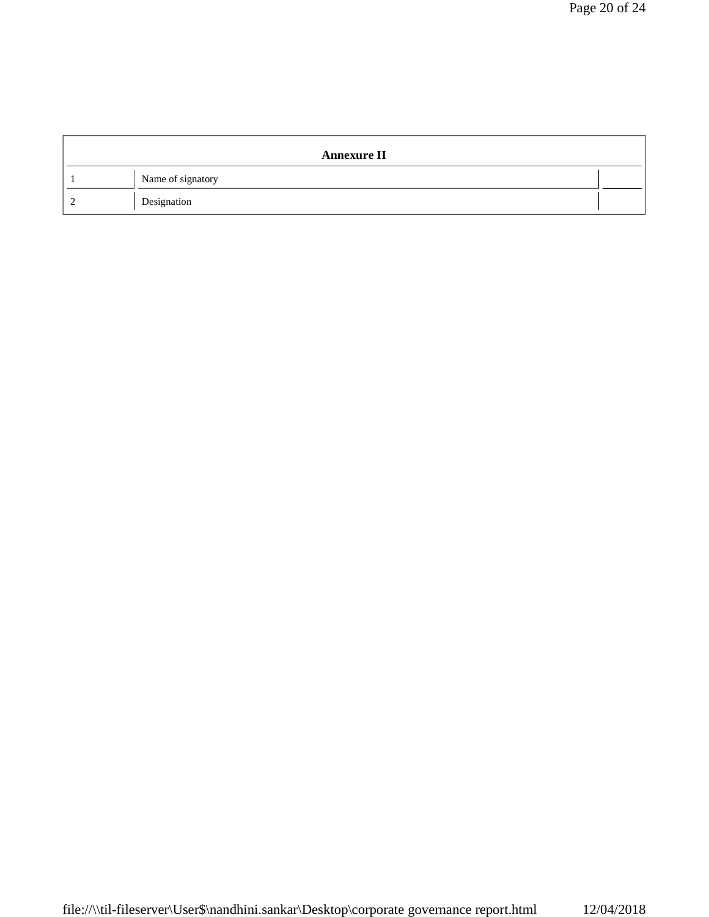| <b>Annexure II</b> |  |
|--------------------|--|
| Name of signatory  |  |
| Designation        |  |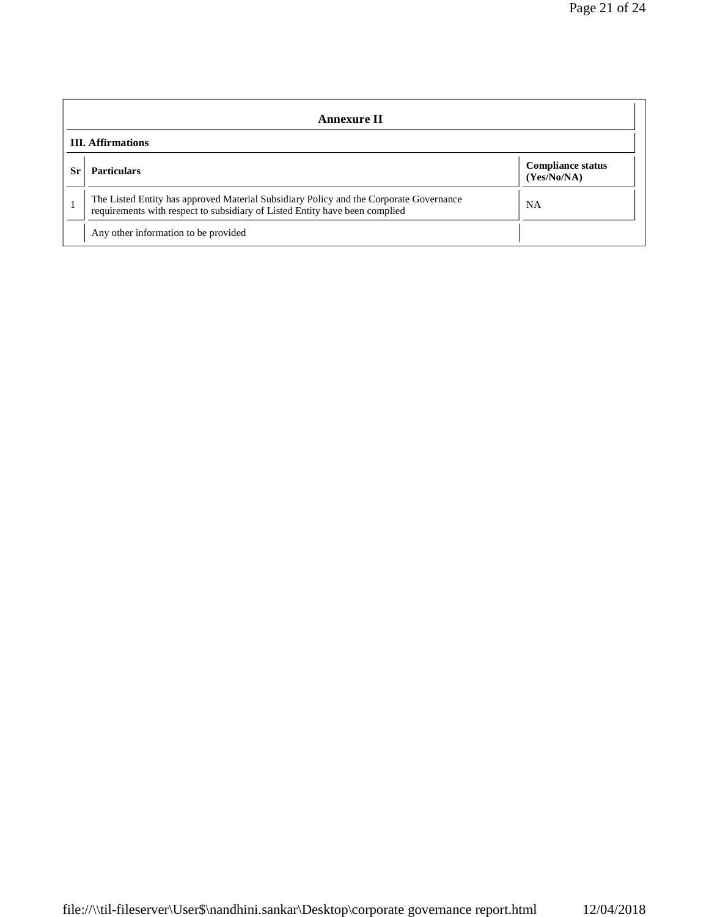|                          | Annexure II                                                                                                                                                           |                                         |  |  |
|--------------------------|-----------------------------------------------------------------------------------------------------------------------------------------------------------------------|-----------------------------------------|--|--|
| <b>III.</b> Affirmations |                                                                                                                                                                       |                                         |  |  |
| Sr.                      | <b>Particulars</b>                                                                                                                                                    | <b>Compliance status</b><br>(Yes/No/NA) |  |  |
|                          | The Listed Entity has approved Material Subsidiary Policy and the Corporate Governance<br>requirements with respect to subsidiary of Listed Entity have been complied | <b>NA</b>                               |  |  |
|                          | Any other information to be provided                                                                                                                                  |                                         |  |  |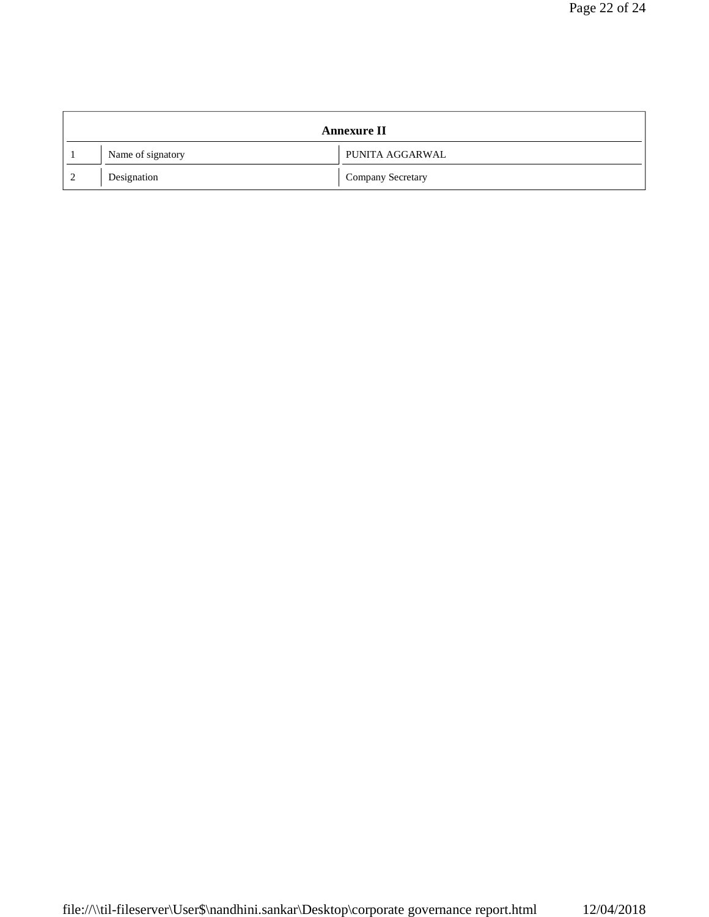|   |                   | <b>Annexure II</b>       |
|---|-------------------|--------------------------|
|   | Name of signatory | PUNITA AGGARWAL          |
| 2 | Designation       | <b>Company Secretary</b> |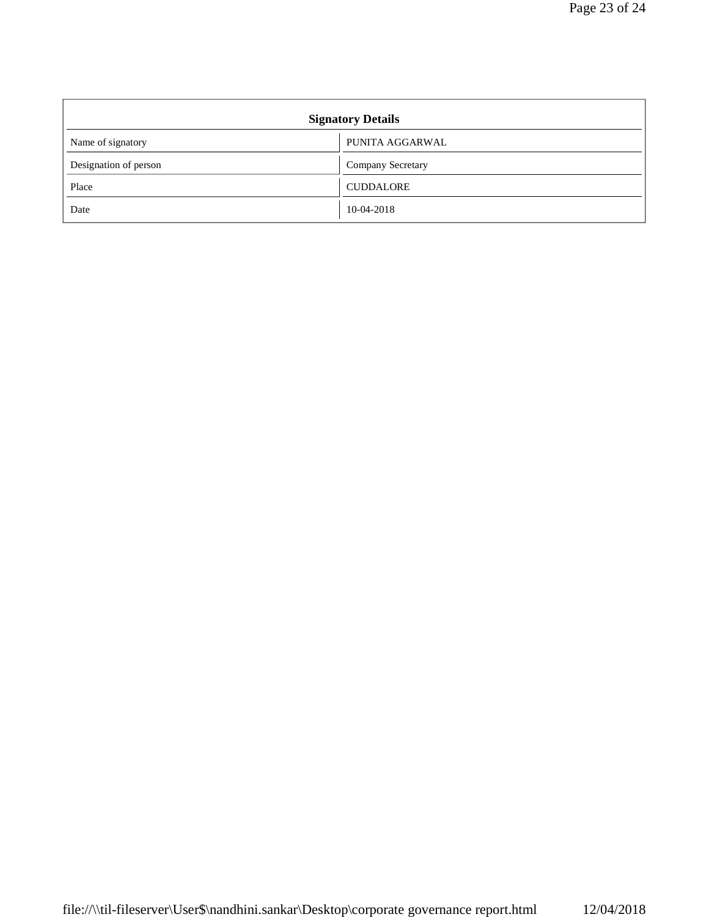| <b>Signatory Details</b> |                   |  |  |
|--------------------------|-------------------|--|--|
| Name of signatory        | PUNITA AGGARWAL   |  |  |
| Designation of person    | Company Secretary |  |  |
| Place                    | <b>CUDDALORE</b>  |  |  |
| Date                     | 10-04-2018        |  |  |